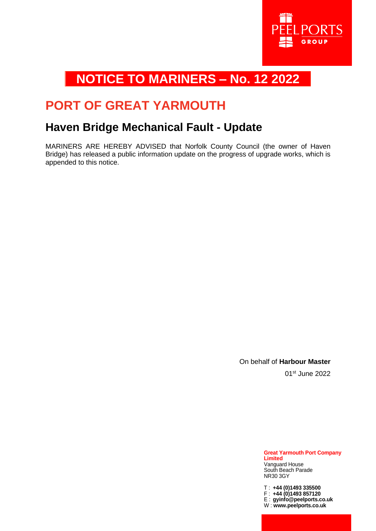

## **NOTICE TO MARINERS – No. 12 2022**

## **PORT OF GREAT YARMOUTH**

### **Haven Bridge Mechanical Fault - Update**

MARINERS ARE HEREBY ADVISED that Norfolk County Council (the owner of Haven Bridge) has released a public information update on the progress of upgrade works, which is appended to this notice.

> On behalf of **Harbour Master** 01st June 2022

> > **Great Yarmouth Port Company Limited** Vanguard House South Beach Parade NR30 3GY

T : **+44 (0)1493 335500** F : **+44 (0)1493 857120** E : **gyinfo@peelports.co.uk** W : **www.peelports.co.uk**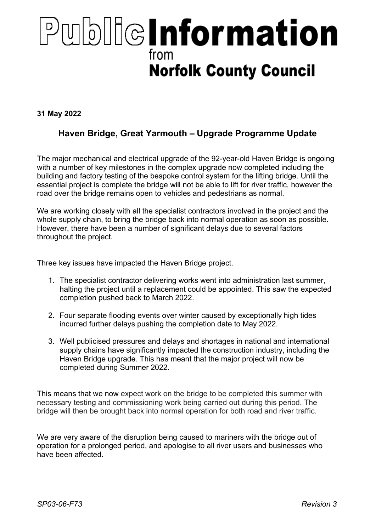# PublicInformation from **Norfolk County Council**

31 May 2022

#### Haven Bridge, Great Yarmouth – Upgrade Programme Update

The major mechanical and electrical upgrade of the 92-year-old Haven Bridge is ongoing with a number of key milestones in the complex upgrade now completed including the building and factory testing of the bespoke control system for the lifting bridge. Until the essential project is complete the bridge will not be able to lift for river traffic, however the road over the bridge remains open to vehicles and pedestrians as normal.

We are working closely with all the specialist contractors involved in the project and the whole supply chain, to bring the bridge back into normal operation as soon as possible. However, there have been a number of significant delays due to several factors throughout the project.

Three key issues have impacted the Haven Bridge project.

- 1. The specialist contractor delivering works went into administration last summer, halting the project until a replacement could be appointed. This saw the expected completion pushed back to March 2022.
- 2. Four separate flooding events over winter caused by exceptionally high tides incurred further delays pushing the completion date to May 2022.
- 3. Well publicised pressures and delays and shortages in national and international supply chains have significantly impacted the construction industry, including the Haven Bridge upgrade. This has meant that the major project will now be completed during Summer 2022.

This means that we now expect work on the bridge to be completed this summer with necessary testing and commissioning work being carried out during this period. The bridge will then be brought back into normal operation for both road and river traffic.

We are very aware of the disruption being caused to mariners with the bridge out of operation for a prolonged period, and apologise to all river users and businesses who have been affected.